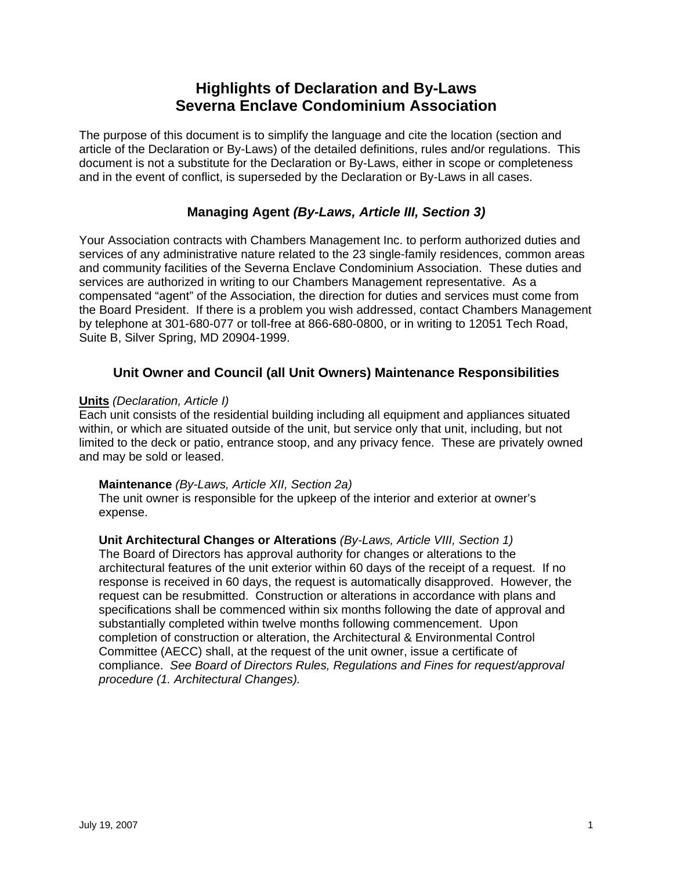# **Highlights of Declaration and By-Laws Severna Enclave Condominium Association**

The purpose of this document is to simplify the language and cite the location (section and article of the Declaration or By-Laws) of the detailed definitions, rules and/or regulations. This document is not a substitute for the Declaration or By-Laws, either in scope or completeness and in the event of conflict, is superseded by the Declaration or By-Laws in all cases.

## **Managing Agent** *(By-Laws, Article III, Section 3)*

Your Association contracts with Chambers Management Inc. to perform authorized duties and services of any administrative nature related to the 23 single-family residences, common areas and community facilities of the Severna Enclave Condominium Association. These duties and services are authorized in writing to our Chambers Management representative. As a compensated "agent" of the Association, the direction for duties and services must come from the Board President. If there is a problem you wish addressed, contact Chambers Management by telephone at 301-680-077 or toll-free at 866-680-0800, or in writing to 12051 Tech Road, Suite B, Silver Spring, MD 20904-1999.

## **Unit Owner and Council (all Unit Owners) Maintenance Responsibilities**

#### **Units** *(Declaration, Article I)*

Each unit consists of the residential building including all equipment and appliances situated within, or which are situated outside of the unit, but service only that unit, including, but not limited to the deck or patio, entrance stoop, and any privacy fence. These are privately owned and may be sold or leased.

#### **Maintenance** *(By-Laws, Article XII, Section 2a)*

The unit owner is responsible for the upkeep of the interior and exterior at owner's expense.

## **Unit Architectural Changes or Alterations** *(By-Laws, Article VIII, Section 1)*

The Board of Directors has approval authority for changes or alterations to the architectural features of the unit exterior within 60 days of the receipt of a request. If no response is received in 60 days, the request is automatically disapproved. However, the request can be resubmitted. Construction or alterations in accordance with plans and specifications shall be commenced within six months following the date of approval and substantially completed within twelve months following commencement. Upon completion of construction or alteration, the Architectural & Environmental Control Committee (AECC) shall, at the request of the unit owner, issue a certificate of compliance. *See Board of Directors Rules, Regulations and Fines for request/approval procedure (1. Architectural Changes).*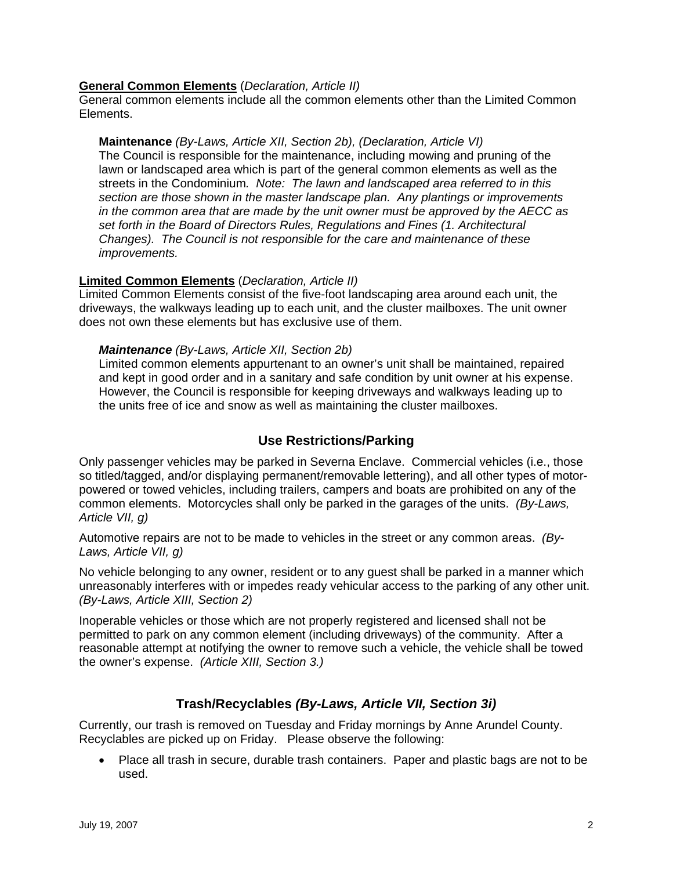#### **General Common Elements** (*Declaration, Article II)*

General common elements include all the common elements other than the Limited Common Elements.

#### **Maintenance** *(By-Laws, Article XII, Section 2b), (Declaration, Article VI)*

The Council is responsible for the maintenance, including mowing and pruning of the lawn or landscaped area which is part of the general common elements as well as the streets in the Condominium*. Note: The lawn and landscaped area referred to in this section are those shown in the master landscape plan. Any plantings or improvements in the common area that are made by the unit owner must be approved by the AECC as set forth in the Board of Directors Rules, Regulations and Fines (1. Architectural Changes). The Council is not responsible for the care and maintenance of these improvements.* 

#### **Limited Common Elements** (*Declaration, Article II)*

Limited Common Elements consist of the five-foot landscaping area around each unit, the driveways, the walkways leading up to each unit, and the cluster mailboxes. The unit owner does not own these elements but has exclusive use of them.

#### *Maintenance (By-Laws, Article XII, Section 2b)*

Limited common elements appurtenant to an owner's unit shall be maintained, repaired and kept in good order and in a sanitary and safe condition by unit owner at his expense. However, the Council is responsible for keeping driveways and walkways leading up to the units free of ice and snow as well as maintaining the cluster mailboxes.

## **Use Restrictions/Parking**

Only passenger vehicles may be parked in Severna Enclave. Commercial vehicles (i.e., those so titled/tagged, and/or displaying permanent/removable lettering), and all other types of motorpowered or towed vehicles, including trailers, campers and boats are prohibited on any of the common elements. Motorcycles shall only be parked in the garages of the units. *(By-Laws, Article VII, g)* 

Automotive repairs are not to be made to vehicles in the street or any common areas. *(By-Laws, Article VII, g)* 

No vehicle belonging to any owner, resident or to any guest shall be parked in a manner which unreasonably interferes with or impedes ready vehicular access to the parking of any other unit. *(By-Laws, Article XIII, Section 2)*

Inoperable vehicles or those which are not properly registered and licensed shall not be permitted to park on any common element (including driveways) of the community. After a reasonable attempt at notifying the owner to remove such a vehicle, the vehicle shall be towed the owner's expense. *(Article XIII, Section 3.)*

## **Trash/Recyclables** *(By-Laws, Article VII, Section 3i)*

Currently, our trash is removed on Tuesday and Friday mornings by Anne Arundel County. Recyclables are picked up on Friday. Please observe the following:

• Place all trash in secure, durable trash containers. Paper and plastic bags are not to be used.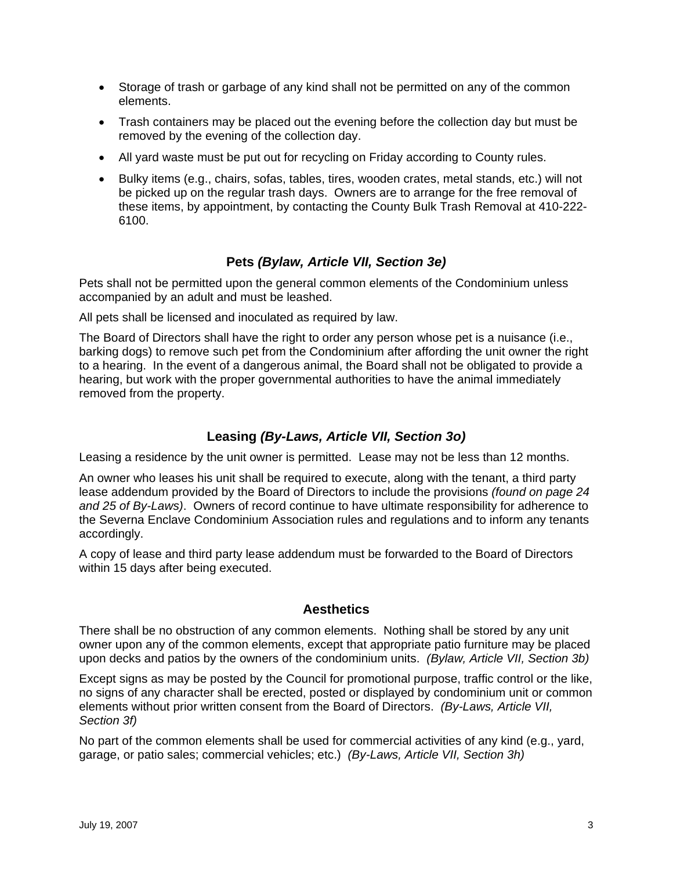- Storage of trash or garbage of any kind shall not be permitted on any of the common elements.
- Trash containers may be placed out the evening before the collection day but must be removed by the evening of the collection day.
- All yard waste must be put out for recycling on Friday according to County rules.
- Bulky items (e.g., chairs, sofas, tables, tires, wooden crates, metal stands, etc.) will not be picked up on the regular trash days. Owners are to arrange for the free removal of these items, by appointment, by contacting the County Bulk Trash Removal at 410-222- 6100.

## **Pets** *(Bylaw, Article VII, Section 3e)*

Pets shall not be permitted upon the general common elements of the Condominium unless accompanied by an adult and must be leashed.

All pets shall be licensed and inoculated as required by law.

The Board of Directors shall have the right to order any person whose pet is a nuisance (i.e., barking dogs) to remove such pet from the Condominium after affording the unit owner the right to a hearing. In the event of a dangerous animal, the Board shall not be obligated to provide a hearing, but work with the proper governmental authorities to have the animal immediately removed from the property.

## **Leasing** *(By-Laws, Article VII, Section 3o)*

Leasing a residence by the unit owner is permitted. Lease may not be less than 12 months.

An owner who leases his unit shall be required to execute, along with the tenant, a third party lease addendum provided by the Board of Directors to include the provisions *(found on page 24 and 25 of By-Laws)*. Owners of record continue to have ultimate responsibility for adherence to the Severna Enclave Condominium Association rules and regulations and to inform any tenants accordingly.

A copy of lease and third party lease addendum must be forwarded to the Board of Directors within 15 days after being executed.

## **Aesthetics**

There shall be no obstruction of any common elements. Nothing shall be stored by any unit owner upon any of the common elements, except that appropriate patio furniture may be placed upon decks and patios by the owners of the condominium units. *(Bylaw, Article VII, Section 3b)*

Except signs as may be posted by the Council for promotional purpose, traffic control or the like, no signs of any character shall be erected, posted or displayed by condominium unit or common elements without prior written consent from the Board of Directors. *(By-Laws, Article VII, Section 3f)*

No part of the common elements shall be used for commercial activities of any kind (e.g., yard, garage, or patio sales; commercial vehicles; etc.) *(By-Laws, Article VII, Section 3h)*